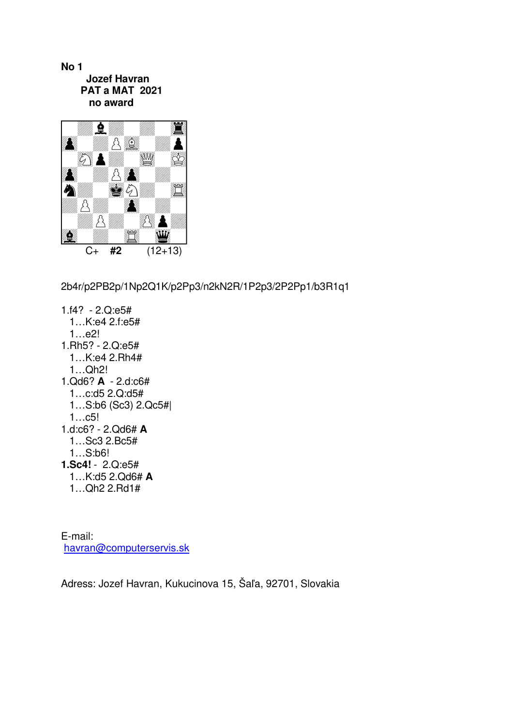**No 1 Jozef Havran PAT a MAT 2021 no award** 



2b4r/p2PB2p/1Np2Q1K/p2Pp3/n2kN2R/1P2p3/2P2Pp1/b3R1q1

1.f4? - 2.Q:e5# 1…K:e4 2.f:e5# 1…e2! 1.Rh5? - 2.Q:e5# 1…K:e4 2.Rh4# 1…Qh2! 1.Qd6? **A** - 2.d:c6# 1…c:d5 2.Q:d5# 1…S:b6 (Sc3) 2.Qc5#| 1…c5! 1.d:c6? - 2.Qd6# **A** 1…Sc3 2.Bc5# 1…S:b6! **1.Sc4!** - 2.Q:e5# 1…K:d5 2.Qd6# **A** 1…Qh2 2.Rd1#

E-mail: havran@computerservis.sk

Adress: Jozef Havran, Kukucinova 15, Šaľa, 92701, Slovakia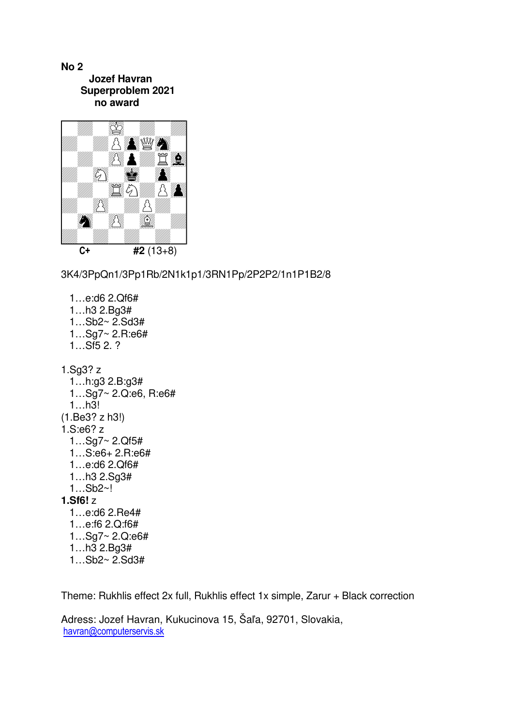**No 2 Jozef Havran Superproblem 2021 no award** 



3K4/3PpQn1/3Pp1Rb/2N1k1p1/3RN1Pp/2P2P2/1n1P1B2/8

 1…e:d6 2.Qf6# 1…h3 2.Bg3# 1…Sb2~ 2.Sd3# 1…Sg7~ 2.R:e6#  $1...$ Sf5 2. ? 1.Sg3? z 1…h:g3 2.B:g3# 1…Sg7~ 2.Q:e6, R:e6# 1…h3! (1.Be3? z h3!) 1.S:e6? z 1…Sg7~ 2.Qf5# 1…S:e6+ 2.R:e6# 1…e:d6 2.Qf6# 1…h3 2.Sg3# 1…Sb2~! **1.Sf6!** z 1…e:d6 2.Re4# 1…e:f6 2.Q:f6# 1…Sg7~ 2.Q:e6# 1…h3 2.Bg3# 1…Sb2~ 2.Sd3#

Theme: Rukhlis effect 2x full, Rukhlis effect 1x simple, Zarur + Black correction

Adress: Jozef Havran, Kukucinova 15, Šaľa, 92701, Slovakia, havran@computerservis.sk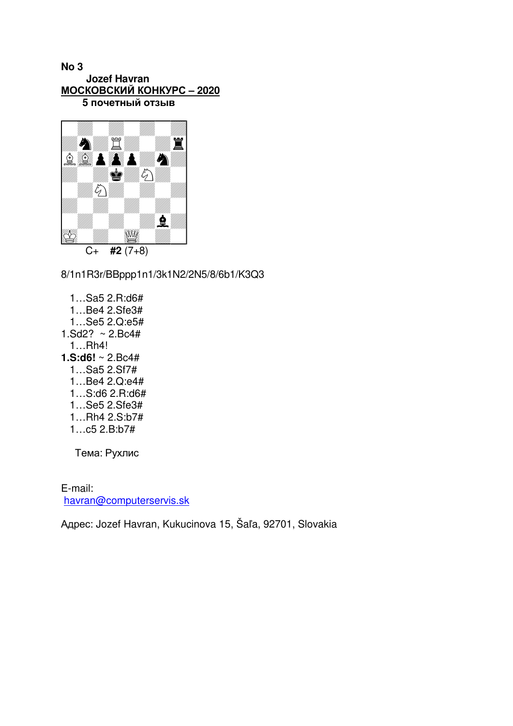## **No 3 Jozef Havran МОСКОВСКИЙ КОНКУРС – 2020 5 почетный отзыв**



8/1n1R3r/BBppp1n1/3k1N2/2N5/8/6b1/K3Q3

 1…Sa5 2.R:d6# 1…Be4 2.Sfe3# 1…Se5 2.Q:e5# 1.Sd2?  $\sim$  2.Bc4# 1…Rh4! **1.S:d6!** ~ 2.Bc4# 1…Sa5 2.Sf7# 1…Be4 2.Q:e4# 1…S:d6 2.R:d6# 1…Se5 2.Sfe3# 1…Rh4 2.S:b7# 1…c5 2.B:b7#

Тема: Рухлис

E-mail: havran@computerservis.sk

Адрес: Jozef Havran, Kukucinova 15, Šaľa, 92701, Slovakia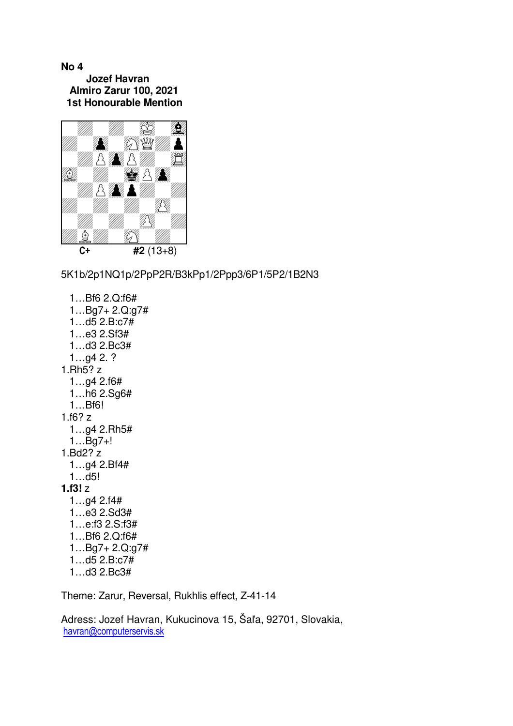## **No 4 Jozef Havran Almiro Zarur 100, 2021 1st Honourable Mention**



5K1b/2p1NQ1p/2PpP2R/B3kPp1/2Ppp3/6P1/5P2/1B2N3

 1…Bf6 2.Q:f6# 1…Bg7+ 2.Q:g7# 1…d5 2.B:c7# 1…e3 2.Sf3# 1…d3 2.Bc3# 1…g4 2. ? 1.Rh5? z 1…g4 2.f6# 1…h6 2.Sg6# 1…Bf6! 1.f6? z 1…g4 2.Rh5# 1…Bg7+! 1.Bd2? z 1…g4 2.Bf4# 1…d5! **1.f3!** z 1…g4 2.f4# 1…e3 2.Sd3# 1…e:f3 2.S:f3# 1…Bf6 2.Q:f6# 1…Bg7+ 2.Q:g7# 1…d5 2.B:c7# 1…d3 2.Bc3#

Theme: Zarur, Reversal, Rukhlis effect, Z-41-14

Adress: Jozef Havran, Kukucinova 15, Šaľa, 92701, Slovakia, havran@computerservis.sk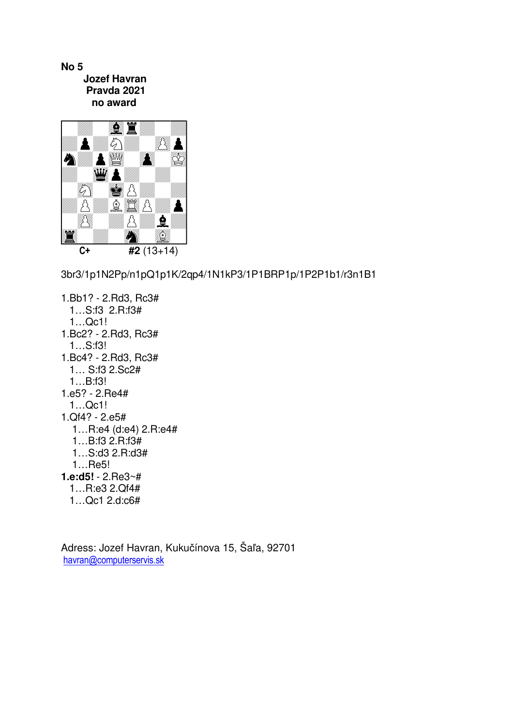

3br3/1p1N2Pp/n1pQ1p1K/2qp4/1N1kP3/1P1BRP1p/1P2P1b1/r3n1B1

1.Bb1? - 2.Rd3, Rc3# 1…S:f3 2.R:f3# 1…Qc1! 1.Bc2? - 2.Rd3, Rc3# 1…S:f3! 1.Bc4? - 2.Rd3, Rc3# 1… S:f3 2.Sc2# 1…B:f3! 1.e5? - 2.Re4# 1…Qc1! 1.Qf4? - 2.e5# 1…R:e4 (d:e4) 2.R:e4# 1…B:f3 2.R:f3# 1…S:d3 2.R:d3# 1…Re5! **1.e:d5!** - 2.Re3~# 1…R:e3 2.Qf4# 1…Qc1 2.d:c6#

Adress: Jozef Havran, Kukučínova 15, Šaľa, 92701 havran@computerservis.sk